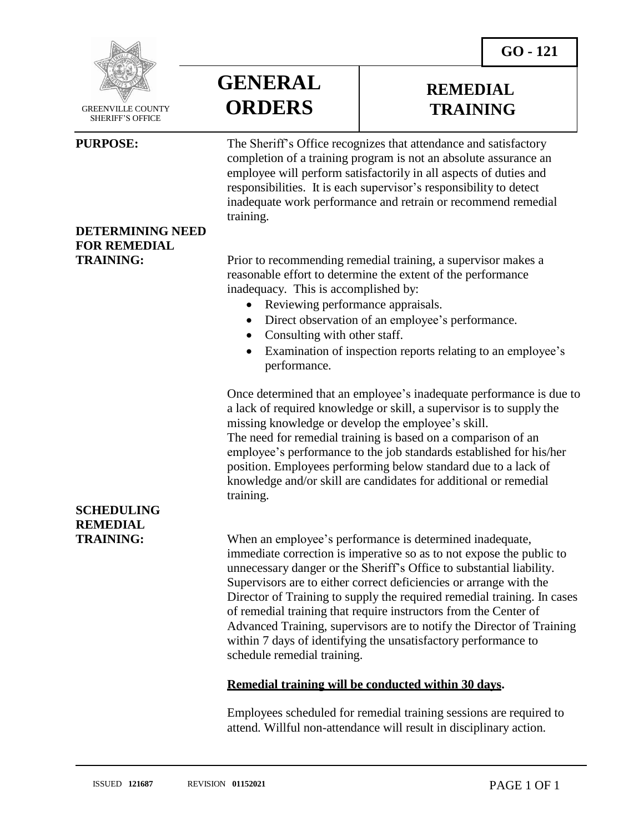

GREENVILLE COUNTY SHERIFF'S OFFICE

**DETERMINING NEED**

**FOR REMEDIAL**

**GENERAL ORDERS**

## **REMEDIAL TRAINING**

**PURPOSE:** The Sheriff's Office recognizes that attendance and satisfactory completion of a training program is not an absolute assurance an employee will perform satisfactorily in all aspects of duties and responsibilities. It is each supervisor's responsibility to detect inadequate work performance and retrain or recommend remedial training.

**TRAINING:** Prior to recommending remedial training, a supervisor makes a reasonable effort to determine the extent of the performance inadequacy. This is accomplished by:

- Reviewing performance appraisals.
- Direct observation of an employee's performance.
- Consulting with other staff.
- Examination of inspection reports relating to an employee's performance.

Once determined that an employee's inadequate performance is due to a lack of required knowledge or skill, a supervisor is to supply the missing knowledge or develop the employee's skill. The need for remedial training is based on a comparison of an employee's performance to the job standards established for his/her position. Employees performing below standard due to a lack of knowledge and/or skill are candidates for additional or remedial training.

**TRAINING:** When an employee's performance is determined inadequate, immediate correction is imperative so as to not expose the public to unnecessary danger or the Sheriff's Office to substantial liability. Supervisors are to either correct deficiencies or arrange with the Director of Training to supply the required remedial training. In cases of remedial training that require instructors from the Center of Advanced Training, supervisors are to notify the Director of Training within 7 days of identifying the unsatisfactory performance to schedule remedial training.

### **Remedial training will be conducted within 30 days.**

Employees scheduled for remedial training sessions are required to attend. Willful non-attendance will result in disciplinary action.

## **SCHEDULING REMEDIAL**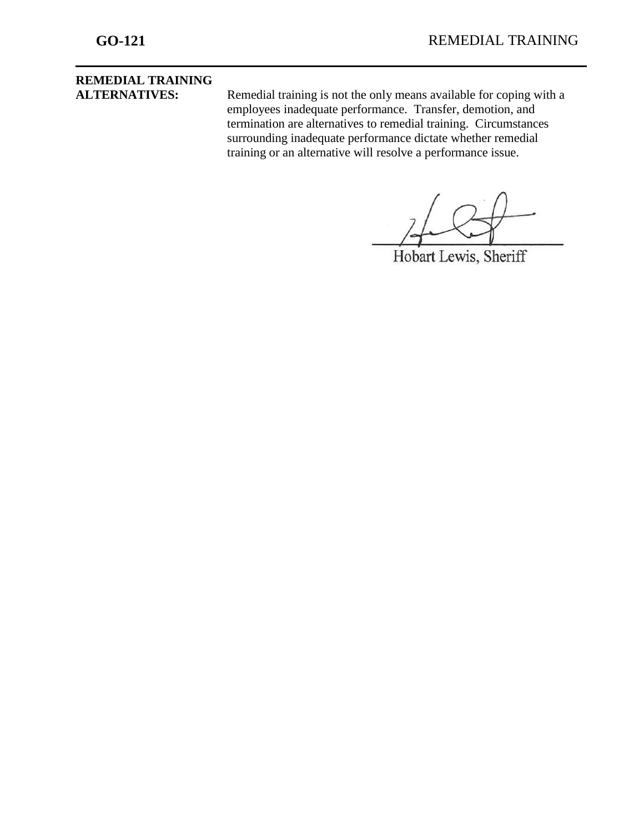# **REMEDIAL TRAINING**

**ALTERNATIVES:** Remedial training is not the only means available for coping with a employees inadequate performance. Transfer, demotion, and termination are alternatives to remedial training. Circumstances surrounding inadequate performance dictate whether remedial training or an alternative will resolve a performance issue.

Hobart Lewis, Sheriff